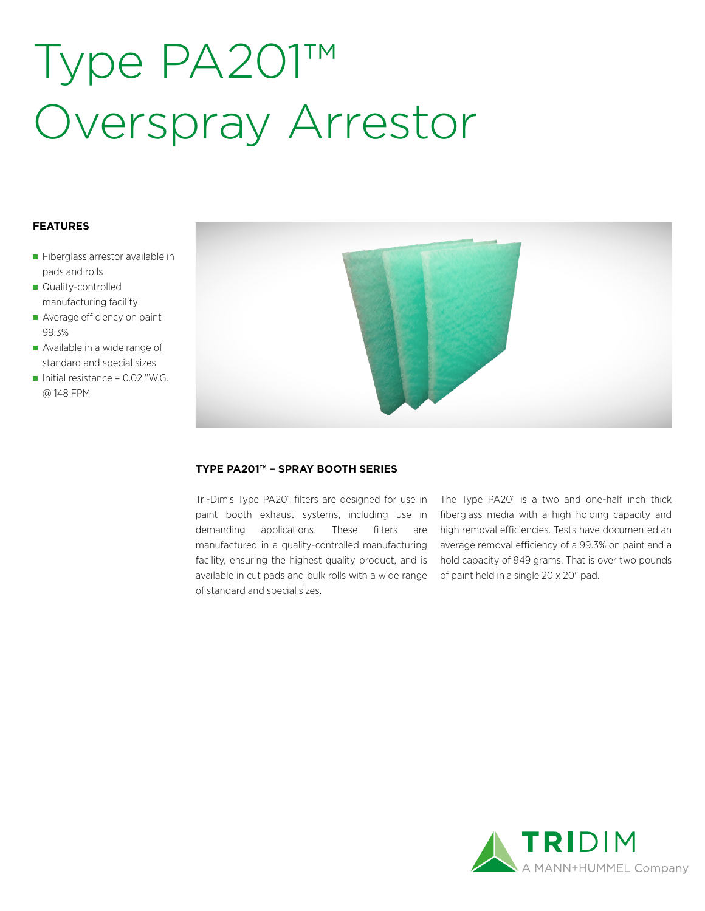# Type PA201™ Overspray Arrestor

### **FEATURES**

- Fiberglass arrestor available in pads and rolls
- Quality-controlled manufacturing facility
- Average efficiency on paint 99.3%
- Available in a wide range of standard and special sizes
- Initial resistance =  $0.02$  "W.G. @ 148 FPM



#### **TYPE PA201™ – SPRAY BOOTH SERIES**

Tri-Dim's Type PA201 filters are designed for use in paint booth exhaust systems, including use in demanding applications. These filters are manufactured in a quality-controlled manufacturing facility, ensuring the highest quality product, and is available in cut pads and bulk rolls with a wide range of standard and special sizes.

The Type PA201 is a two and one-half inch thick fiberglass media with a high holding capacity and high removal efficiencies. Tests have documented an average removal efficiency of a 99.3% on paint and a hold capacity of 949 grams. That is over two pounds of paint held in a single 20 x 20" pad.